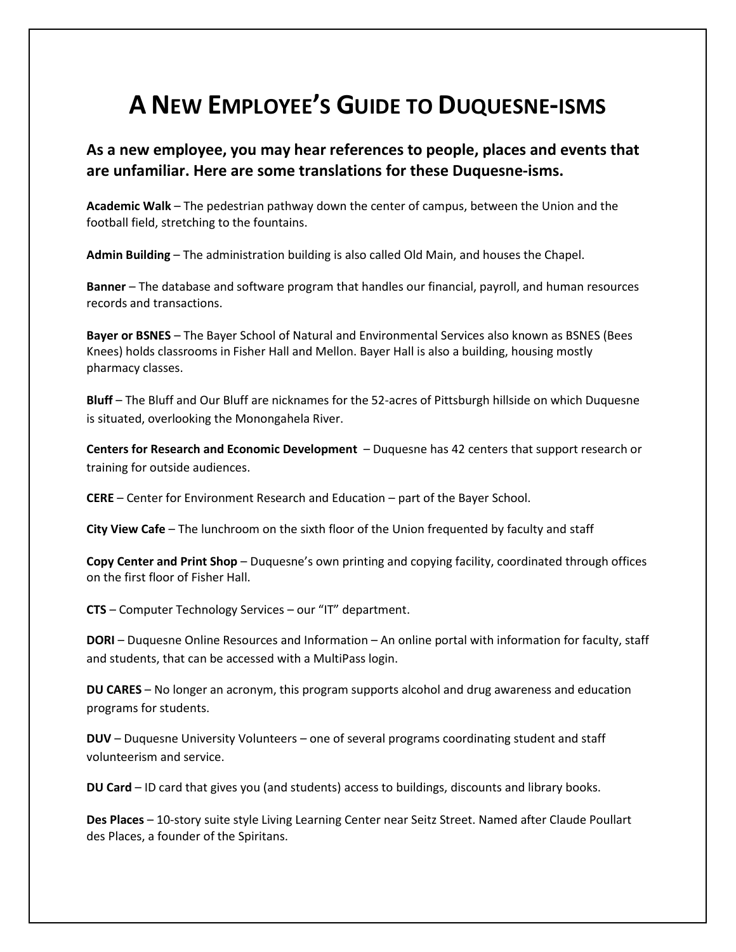## **A NEW EMPLOYEE'S GUIDE TO DUQUESNE-ISMS**

## **As a new employee, you may hear references to people, places and events that are unfamiliar. Here are some translations for these Duquesne-isms.**

**Academic Walk** – The pedestrian pathway down the center of campus, between the Union and the football field, stretching to the fountains.

**Admin Building** – The administration building is also called Old Main, and houses the Chapel.

**Banner** – The database and software program that handles our financial, payroll, and human resources records and transactions.

**Bayer or BSNES** – The Bayer School of Natural and Environmental Services also known as BSNES (Bees Knees) holds classrooms in Fisher Hall and Mellon. Bayer Hall is also a building, housing mostly pharmacy classes.

**Bluff** – The Bluff and Our Bluff are nicknames for the 52-acres of Pittsburgh hillside on which Duquesne is situated, overlooking the Monongahela River.

**[Centers for Research and Economic Development](http://www.duq.edu/about/centers-institutes.cfm)** – Duquesne has 42 centers that support research or training for outside audiences.

**CERE** – Center for Environment Research and Education – part of the Bayer School.

**City View Cafe** – The lunchroom on the sixth floor of the Union frequented by faculty and staff

**Copy Center and Print Shop** – Duquesne's own printing and copying facility, coordinated through offices on the first floor of Fisher Hall.

**CTS** – [Computer Technology Services](http://www.duq.edu/cts) – our "IT" department.

**DORI** – Duquesne Online Resources and Information – An online portal with information for faculty, staff and students, that can be accessed with a MultiPass login.

**DU CARES** – No longer an acronym, this program supports alcohol and drug awareness and education programs for students.

**DUV** – [Duquesne University Volunteers](http://www.duq.edu/volunteer) – one of several programs coordinating student and staff volunteerism and service.

**DU Card** – ID card that gives you (and students) access to buildings, discounts and library books.

**Des Places** – 10-story suite style Living Learning Center near Seitz Street. Named after Claude Poullart des Places, a founder of the Spiritans.